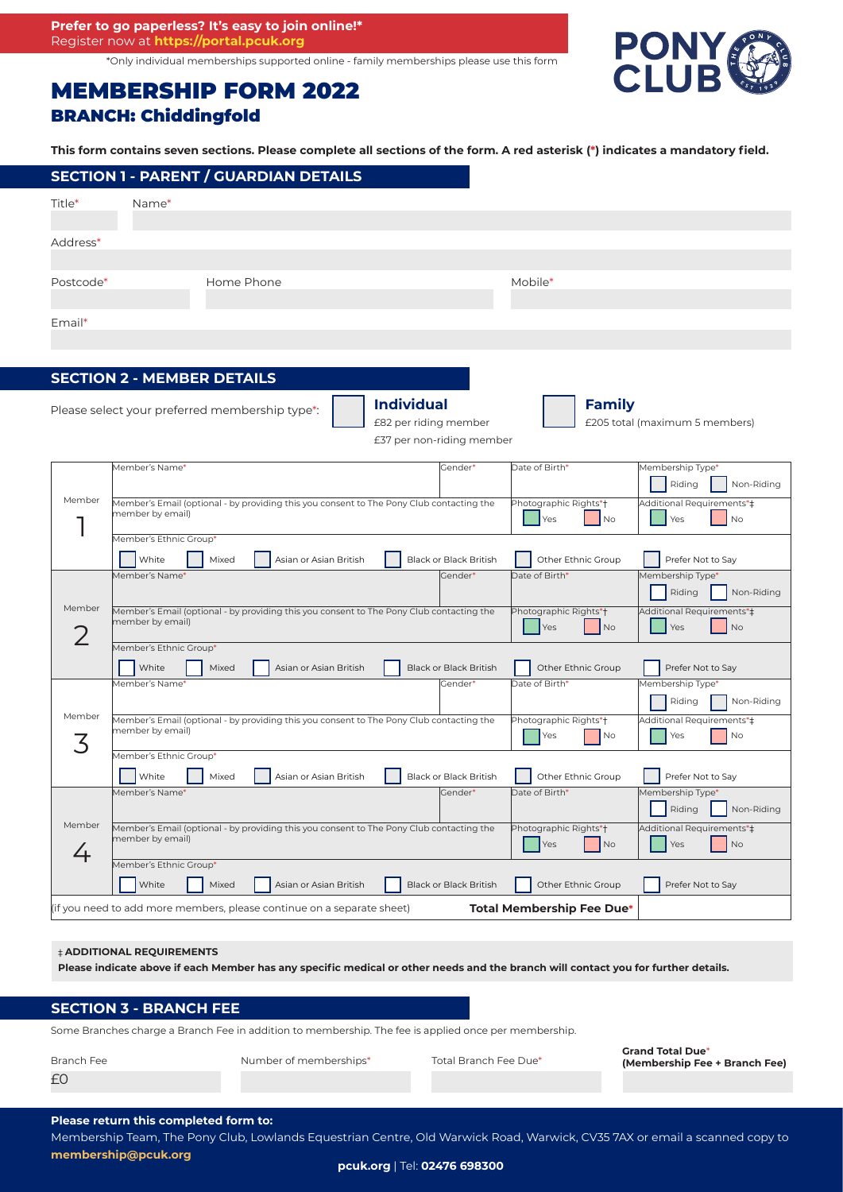\*Only individual memberships supported online - family memberships please use this form

# MEMBERSHIP FORM 2022 BRANCH: Chiddingfold

PONY

#### **This form contains seven sections. Please complete all sections of the form. A red asterisk (\*) indicates a mandatory field.**

|           |       | <b>SECTION 1 - PARENT / GUARDIAN DETAILS</b> |         |
|-----------|-------|----------------------------------------------|---------|
| Title*    | Name* |                                              |         |
| Address*  |       |                                              |         |
| Postcode* |       | Home Phone                                   | Mobile* |
| Email*    |       |                                              |         |
|           |       |                                              |         |

# **SECTION 2 - MEMBER DETAILS**

Please select your preferred membership type\*:

**Individual** £82 per riding member £37 per non-riding member **Family**

£205 total (maximum 5 members)

|             | Member's Name*                                                                                               | Gender*                       | Date of Birth*                   | Membership Type*          |  |  |  |
|-------------|--------------------------------------------------------------------------------------------------------------|-------------------------------|----------------------------------|---------------------------|--|--|--|
|             |                                                                                                              |                               |                                  | Riding<br>Non-Riding      |  |  |  |
| Member      | Member's Email (optional - by providing this you consent to The Pony Club contacting the<br>member by email) |                               | Photographic Rights*+            | Additional Requirements*‡ |  |  |  |
|             |                                                                                                              |                               | Yes<br>No                        | <b>Yes</b><br><b>No</b>   |  |  |  |
|             | Member's Ethnic Group*                                                                                       |                               |                                  |                           |  |  |  |
|             | White<br>Mixed<br>Asian or Asian British                                                                     | <b>Black or Black British</b> | Other Ethnic Group               | Prefer Not to Say         |  |  |  |
|             | Member's Name*                                                                                               | Gender*                       | Date of Birth*                   | Membership Type*          |  |  |  |
|             |                                                                                                              |                               |                                  | Riding<br>Non-Riding      |  |  |  |
| Member      | Member's Email (optional - by providing this you consent to The Pony Club contacting the                     |                               | Photographic Rights*†            | Additional Requirements*‡ |  |  |  |
|             | member by email)                                                                                             |                               | N <sub>o</sub><br>Yes            | Yes<br><b>No</b>          |  |  |  |
|             | Member's Ethnic Group*                                                                                       |                               |                                  |                           |  |  |  |
|             | White<br>Asian or Asian British<br>Mixed                                                                     | <b>Black or Black British</b> | Other Ethnic Group               | Prefer Not to Say         |  |  |  |
|             | Member's Name*                                                                                               | Gender*                       | Date of Birth*                   | Membership Type*          |  |  |  |
|             |                                                                                                              |                               |                                  | Riding<br>Non-Riding      |  |  |  |
| Member      | Member's Email (optional - by providing this you consent to The Pony Club contacting the                     | Photographic Rights*+         | Additional Requirements*#        |                           |  |  |  |
| ζ           | member by email)                                                                                             |                               | N <sub>o</sub><br>Yes            | Yes<br>No                 |  |  |  |
|             | Member's Ethnic Group*                                                                                       |                               |                                  |                           |  |  |  |
|             | White<br>Asian or Asian British<br>Mixed                                                                     | <b>Black or Black British</b> | Other Ethnic Group               | Prefer Not to Sav         |  |  |  |
| Member<br>4 | Member's Name*                                                                                               | Gender*                       | Date of Birth*                   | Membership Type*          |  |  |  |
|             |                                                                                                              |                               |                                  | Riding<br>Non-Riding      |  |  |  |
|             | Member's Email (optional - by providing this you consent to The Pony Club contacting the                     |                               | Photographic Rights*+            | Additional Requirements*‡ |  |  |  |
|             | member by email)                                                                                             |                               | Yes<br>No                        | Yes<br>No                 |  |  |  |
|             | Member's Ethnic Group*                                                                                       |                               |                                  |                           |  |  |  |
|             | White<br>Mixed<br>Asian or Asian British                                                                     | <b>Black or Black British</b> | Other Ethnic Group               | Prefer Not to Say         |  |  |  |
|             | (if you need to add more members, please continue on a separate sheet)                                       |                               | <b>Total Membership Fee Due*</b> |                           |  |  |  |

## ‡ **ADDITIONAL REQUIREMENTS**

**Please indicate above if each Member has any specific medical or other needs and the branch will contact you for further details.**

## **SECTION 3 - BRANCH FEE**

Some Branches charge a Branch Fee in addition to membership. The fee is applied once per membership.

| Branch Fee | Number of memberships* | Total Branch Fee Due* | <b>Grand Total Due*</b><br>(Membership Fee + Branch Fee) |
|------------|------------------------|-----------------------|----------------------------------------------------------|
| £0         |                        |                       |                                                          |

#### **Please return this completed form to:**

Membership Team, The Pony Club, Lowlands Equestrian Centre, Old Warwick Road, Warwick, CV35 7AX or email a scanned copy to **membership@pcuk.org**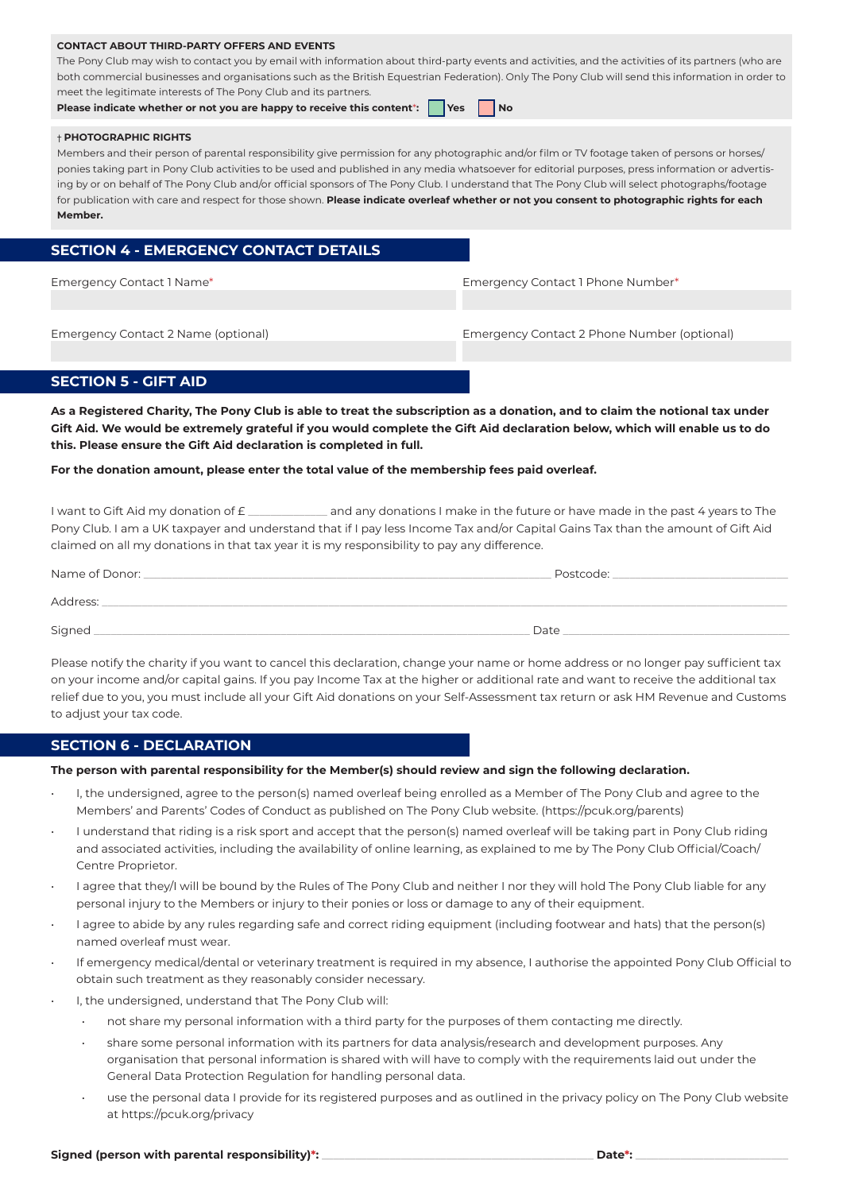## **CONTACT ABOUT THIRD-PARTY OFFERS AND EVENTS**

The Pony Club may wish to contact you by email with information about third-party events and activities, and the activities of its partners (who are both commercial businesses and organisations such as the British Equestrian Federation). Only The Pony Club will send this information in order to meet the legitimate interests of The Pony Club and its partners.

**Please indicate whether or not you are happy to receive this content<sup>\*</sup>: Yes No** 

# † **PHOTOGRAPHIC RIGHTS**

Members and their person of parental responsibility give permission for any photographic and/or film or TV footage taken of persons or horses/ ponies taking part in Pony Club activities to be used and published in any media whatsoever for editorial purposes, press information or advertising by or on behalf of The Pony Club and/or official sponsors of The Pony Club. I understand that The Pony Club will select photographs/footage for publication with care and respect for those shown. **Please indicate overleaf whether or not you consent to photographic rights for each Member.**

# **SECTION 4 - EMERGENCY CONTACT DETAILS**

Emergency Contact 1 Name\* Emergency Contact 1 Phone Number\*

Emergency Contact 2 Name (optional) Emergency Contact 2 Phone Number (optional)

# **SECTION 5 - GIFT AID**

**As a Registered Charity, The Pony Club is able to treat the subscription as a donation, and to claim the notional tax under Gift Aid. We would be extremely grateful if you would complete the Gift Aid declaration below, which will enable us to do this. Please ensure the Gift Aid declaration is completed in full.**

## **For the donation amount, please enter the total value of the membership fees paid overleaf.**

I want to Gift Aid my donation of  $E_1$  and any donations I make in the future or have made in the past 4 years to The Pony Club. I am a UK taxpayer and understand that if I pay less Income Tax and/or Capital Gains Tax than the amount of Gift Aid claimed on all my donations in that tax year it is my responsibility to pay any difference.

| Name of Donor: _ | Postcode: |
|------------------|-----------|
| Address:         |           |
| Signed           | Date      |

Please notify the charity if you want to cancel this declaration, change your name or home address or no longer pay sufficient tax on your income and/or capital gains. If you pay Income Tax at the higher or additional rate and want to receive the additional tax relief due to you, you must include all your Gift Aid donations on your Self-Assessment tax return or ask HM Revenue and Customs to adjust your tax code.

# **SECTION 6 - DECLARATION**

## **The person with parental responsibility for the Member(s) should review and sign the following declaration.**

- I, the undersigned, agree to the person(s) named overleaf being enrolled as a Member of The Pony Club and agree to the Members' and Parents' Codes of Conduct as published on The Pony Club website. (https://pcuk.org/parents)
- I understand that riding is a risk sport and accept that the person(s) named overleaf will be taking part in Pony Club riding and associated activities, including the availability of online learning, as explained to me by The Pony Club Official/Coach/ Centre Proprietor.
- I agree that they/I will be bound by the Rules of The Pony Club and neither I nor they will hold The Pony Club liable for any personal injury to the Members or injury to their ponies or loss or damage to any of their equipment.
- I agree to abide by any rules regarding safe and correct riding equipment (including footwear and hats) that the person(s) named overleaf must wear.
- If emergency medical/dental or veterinary treatment is required in my absence, I authorise the appointed Pony Club Official to obtain such treatment as they reasonably consider necessary.
- I, the undersigned, understand that The Pony Club will:
	- not share my personal information with a third party for the purposes of them contacting me directly.
	- share some personal information with its partners for data analysis/research and development purposes. Any organisation that personal information is shared with will have to comply with the requirements laid out under the General Data Protection Regulation for handling personal data.
	- use the personal data I provide for its registered purposes and as outlined in the privacy policy on The Pony Club website at https://pcuk.org/privacy